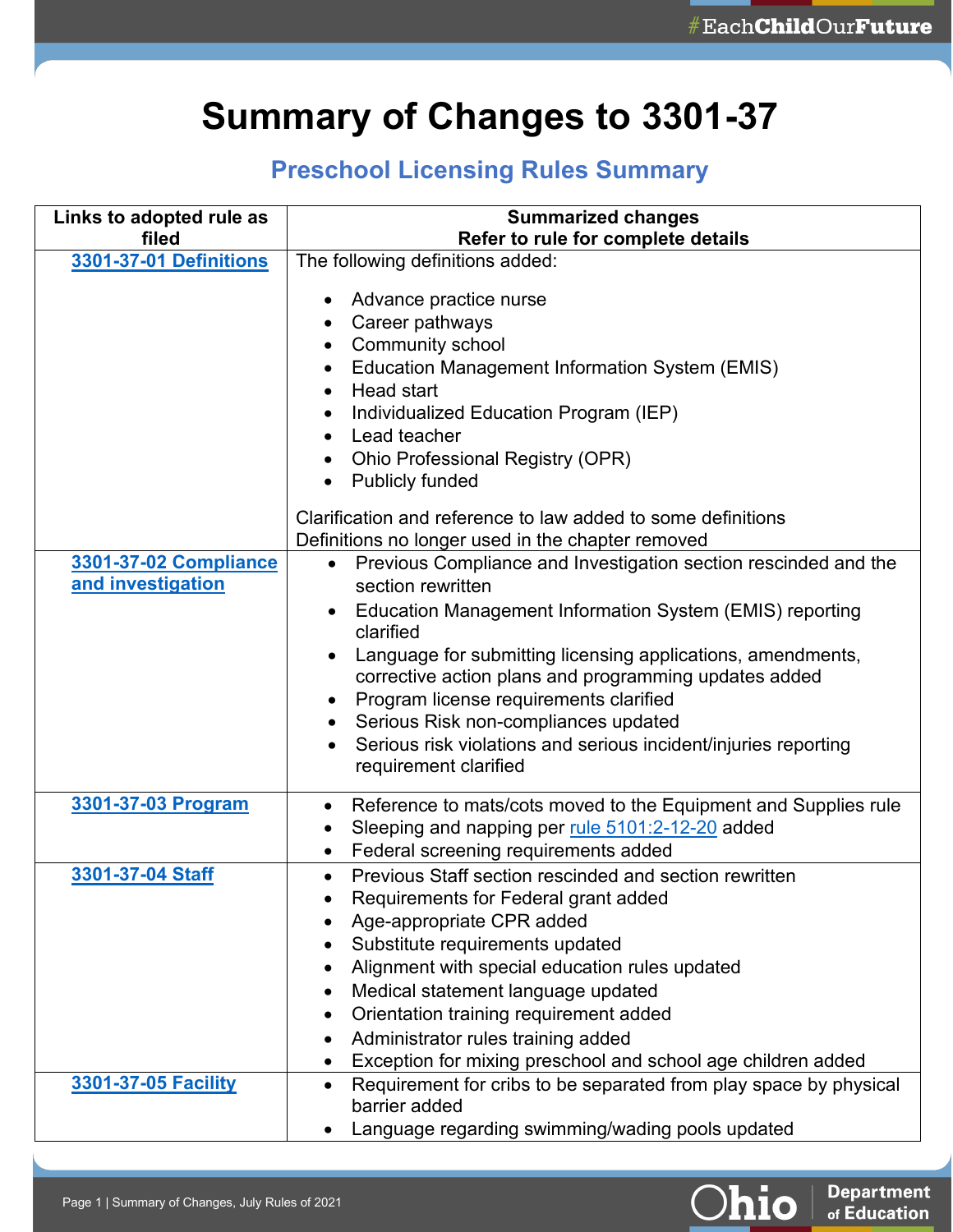**Department**<br>of Education

Ohio

## **Summary of Changes to 3301-37**

## **Preschool Licensing Rules Summary**

| Links to adopted rule as<br>filed | <b>Summarized changes</b><br>Refer to rule for complete details                                                                                                                                                                                                                                                                                                                                               |
|-----------------------------------|---------------------------------------------------------------------------------------------------------------------------------------------------------------------------------------------------------------------------------------------------------------------------------------------------------------------------------------------------------------------------------------------------------------|
| 3301-37-01 Definitions            | The following definitions added:                                                                                                                                                                                                                                                                                                                                                                              |
|                                   | Advance practice nurse<br>Career pathways<br>٠<br><b>Community school</b><br>Education Management Information System (EMIS)<br>Head start<br>Individualized Education Program (IEP)<br>Lead teacher<br>Ohio Professional Registry (OPR)<br><b>Publicly funded</b><br>$\bullet$                                                                                                                                |
| 3301-37-02 Compliance             | Clarification and reference to law added to some definitions<br>Definitions no longer used in the chapter removed<br>Previous Compliance and Investigation section rescinded and the<br>$\bullet$                                                                                                                                                                                                             |
| and investigation                 | section rewritten<br>Education Management Information System (EMIS) reporting<br>$\bullet$<br>clarified<br>Language for submitting licensing applications, amendments,<br>corrective action plans and programming updates added<br>Program license requirements clarified<br>Serious Risk non-compliances updated<br>Serious risk violations and serious incident/injuries reporting<br>requirement clarified |
| 3301-37-03 Program                | Reference to mats/cots moved to the Equipment and Supplies rule<br>$\bullet$<br>Sleeping and napping per rule 5101:2-12-20 added<br>Federal screening requirements added<br>٠                                                                                                                                                                                                                                 |
| 3301-37-04 Staff                  | Previous Staff section rescinded and section rewritten<br>Requirements for Federal grant added<br>Age-appropriate CPR added<br>Substitute requirements updated<br>Alignment with special education rules updated<br>Medical statement language updated<br>Orientation training requirement added<br>Administrator rules training added<br>Exception for mixing preschool and school age children added        |
| 3301-37-05 Facility               | Requirement for cribs to be separated from play space by physical<br>barrier added<br>Language regarding swimming/wading pools updated                                                                                                                                                                                                                                                                        |